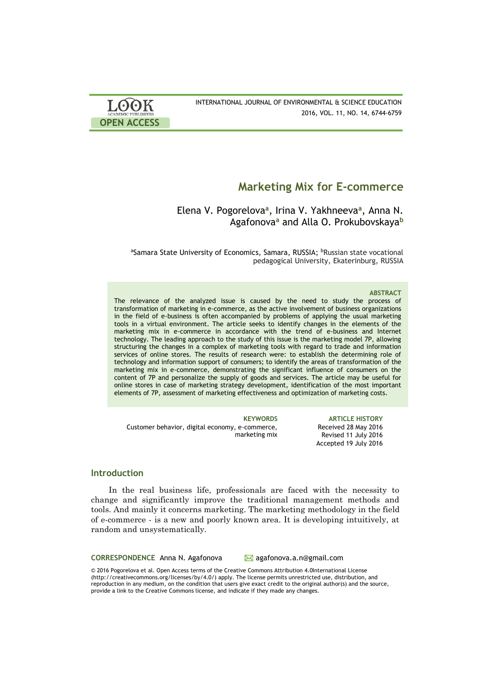| <b>LOOK</b>                | INTERNATIONAL JOURNAL OF ENVIRONMENTAL & SCIENCE EDUCATION |
|----------------------------|------------------------------------------------------------|
| <b>ACADEMIC PUBLISHERS</b> | 2016, VOL. 11, NO. 14, 6744-6759                           |
| <b>OPEN ACCESS</b>         |                                                            |

# **Marketing Mix for E-commerce**

Elena V. Pogorelova**<sup>a</sup>** , Irina V. Yakhneeva**<sup>a</sup>** , Anna N. Agafonova**<sup>a</sup>** and Alla O. Prokubovskaya**<sup>b</sup>**

aSamara State University of Economics, Samara, RUSSIA; **PRussian state vocational** pedagogical University, Ekaterinburg, RUSSIA

#### **ABSTRACT**

The relevance of the analyzed issue is caused by the need to study the process of transformation of marketing in e-commerce, as the active involvement of business organizations in the field of e-business is often accompanied by problems of applying the usual marketing tools in a virtual environment. The article seeks to identify changes in the elements of the marketing mix in e-commerce in accordance with the trend of e-business and Internet technology. The leading approach to the study of this issue is the marketing model 7P, allowing structuring the changes in a complex of marketing tools with regard to trade and information services of online stores. The results of research were: to establish the determining role of technology and information support of consumers; to identify the areas of transformation of the marketing mix in e-commerce, demonstrating the significant influence of consumers on the content of 7P and personalize the supply of goods and services. The article may be useful for online stores in case of marketing strategy development, identification of the most important elements of 7P, assessment of marketing effectiveness and optimization of marketing costs.

**KEYWORDS ARTICLE HISTORY** Customer behavior, digital economy, e-commerce, marketing mix Received 28 May 2016 Revised 11 July 2016 Accepted 19 July 2016

# **Introduction**

In the real business life, professionals are faced with the necessity to change and significantly improve the traditional management methods and tools. And mainly it concerns marketing. The marketing methodology in the field of e-commerce - is a new and poorly known area. It is developing intuitively, at random and unsystematically.

**CORRESPONDENCE** Anna N. Agafonova <br>
Magafonova.a.n@gmail.com

© 2016 Pogorelova et al. Open Access terms of the Creative Commons Attribution 4.0International License (http://creativecommons.org/licenses/by/4.0/) apply. The license permits unrestricted use, distribution, and reproduction in any medium, on the condition that users give exact credit to the original author(s) and the source, provide a link to the Creative Commons license, and indicate if they made any changes.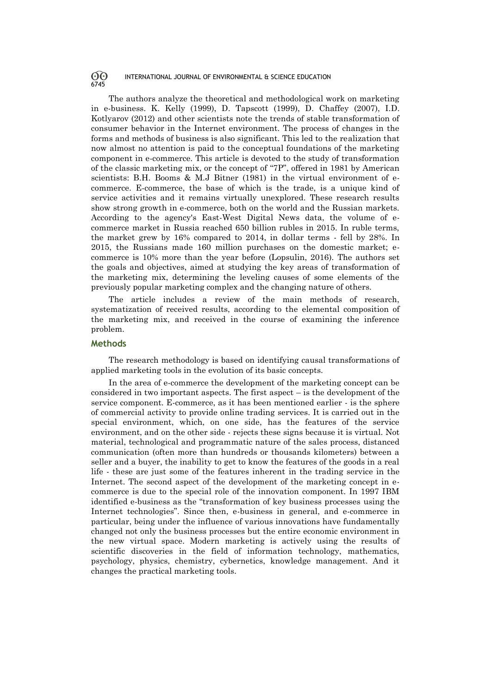The authors analyze the theoretical and methodological work on marketing in e-business. K. Kelly (1999), D. Tapscott (1999), D. Chaffey (2007), I.D. Kotlyarov (2012) and other scientists note the trends of stable transformation of consumer behavior in the Internet environment. The process of changes in the forms and methods of business is also significant. This led to the realization that now almost no attention is paid to the conceptual foundations of the marketing component in e-commerce. This article is devoted to the study of transformation of the classic marketing mix, or the concept of "7P", offered in 1981 by American scientists: B.H. Booms & M.J Bitner (1981) in the virtual environment of ecommerce. E-commerce, the base of which is the trade, is a unique kind of service activities and it remains virtually unexplored. These research results show strong growth in e-commerce, both on the world and the Russian markets. According to the agency's East-West Digital News data, the volume of ecommerce market in Russia reached 650 billion rubles in 2015. In ruble terms, the market grew by 16% compared to 2014, in dollar terms - fell by 28%. In 2015, the Russians made 160 million purchases on the domestic market; ecommerce is 10% more than the year before (Lopsulin, 2016). The authors set the goals and objectives, aimed at studying the key areas of transformation of the marketing mix, determining the leveling causes of some elements of the previously popular marketing complex and the changing nature of others.

The article includes a review of the main methods of research, systematization of received results, according to the elemental composition of the marketing mix, and received in the course of examining the inference problem.

### **Methods**

The research methodology is based on identifying causal transformations of applied marketing tools in the evolution of its basic concepts.

In the area of e-commerce the development of the marketing concept can be considered in two important aspects. The first aspect  $-$  is the development of the service component. E-commerce, as it has been mentioned earlier - is the sphere of commercial activity to provide online trading services. It is carried out in the special environment, which, on one side, has the features of the service environment, and on the other side - rejects these signs because it is virtual. Not material, technological and programmatic nature of the sales process, distanced communication (often more than hundreds or thousands kilometers) between a seller and a buyer, the inability to get to know the features of the goods in a real life - these are just some of the features inherent in the trading service in the Internet. The second aspect of the development of the marketing concept in ecommerce is due to the special role of the innovation component. In 1997 IBM identified e-business as the "transformation of key business processes using the Internet technologies". Since then, e-business in general, and e-commerce in particular, being under the influence of various innovations have fundamentally changed not only the business processes but the entire economic environment in the new virtual space. Modern marketing is actively using the results of scientific discoveries in the field of information technology, mathematics, psychology, physics, chemistry, cybernetics, knowledge management. And it changes the practical marketing tools.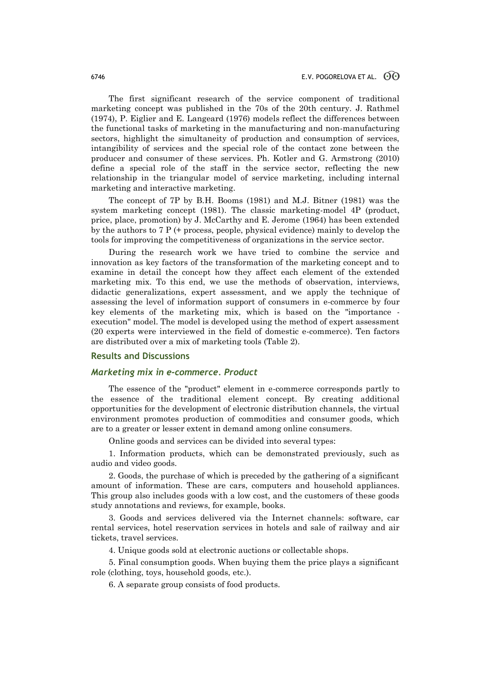The first significant research of the service component of traditional marketing concept was published in the 70s of the 20th century. J. Rathmel (1974), P. Eiglier and E. Langeard (1976) models reflect the differences between the functional tasks of marketing in the manufacturing and non-manufacturing sectors, highlight the simultaneity of production and consumption of services, intangibility of services and the special role of the contact zone between the producer and consumer of these services. Ph. Kotler and G. Armstrong (2010) define a special role of the staff in the service sector, reflecting the new relationship in the triangular model of service marketing, including internal marketing and interactive marketing.

The concept of 7P by B.H. Booms (1981) and M.J. Bitner (1981) was the system marketing concept (1981). The classic marketing-model 4P (product, price, place, promotion) by J. McCarthy and E. Jerome (1964) has been extended by the authors to 7 P (+ process, people, physical evidence) mainly to develop the tools for improving the competitiveness of organizations in the service sector.

During the research work we have tried to combine the service and innovation as key factors of the transformation of the marketing concept and to examine in detail the concept how they affect each element of the extended marketing mix. To this end, we use the methods of observation, interviews, didactic generalizations, expert assessment, and we apply the technique of assessing the level of information support of consumers in e-commerce by four key elements of the marketing mix, which is based on the "importance execution" model. The model is developed using the method of expert assessment (20 experts were interviewed in the field of domestic e-commerce). Ten factors are distributed over a mix of marketing tools (Table 2).

#### **Results and Discussions**

### *Marketing mix in e-commerce. Product*

The essence of the "product" element in e-commerce corresponds partly to the essence of the traditional element concept. By creating additional opportunities for the development of electronic distribution channels, the virtual environment promotes production of commodities and consumer goods, which are to a greater or lesser extent in demand among online consumers.

Online goods and services can be divided into several types:

1. Information products, which can be demonstrated previously, such as audio and video goods.

2. Goods, the purchase of which is preceded by the gathering of a significant amount of information. These are cars, computers and household appliances. This group also includes goods with a low cost, and the customers of these goods study annotations and reviews, for example, books.

3. Goods and services delivered via the Internet channels: software, car rental services, hotel reservation services in hotels and sale of railway and air tickets, travel services.

4. Unique goods sold at electronic auctions or collectable shops.

5. Final consumption goods. When buying them the price plays a significant role (clothing, toys, household goods, etc.).

6. A separate group consists of food products.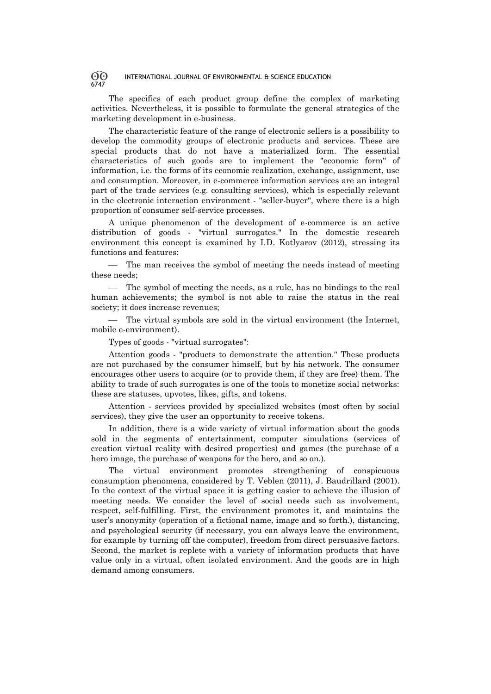The specifics of each product group define the complex of marketing activities. Nevertheless, it is possible to formulate the general strategies of the marketing development in e-business.

The characteristic feature of the range of electronic sellers is a possibility to develop the commodity groups of electronic products and services. These are special products that do not have a materialized form. The essential characteristics of such goods are to implement the "economic form" of information, i.e. the forms of its economic realization, exchange, assignment, use and consumption. Moreover, in e-commerce information services are an integral part of the trade services (e.g. consulting services), which is especially relevant in the electronic interaction environment - "seller-buyer", where there is a high proportion of consumer self-service processes.

A unique phenomenon of the development of e-commerce is an active distribution of goods - "virtual surrogates." In the domestic research environment this concept is examined by I.D. Kotlyarov (2012), stressing its functions and features:

 The man receives the symbol of meeting the needs instead of meeting these needs;

 The symbol of meeting the needs, as a rule, has no bindings to the real human achievements; the symbol is not able to raise the status in the real society; it does increase revenues;

 The virtual symbols are sold in the virtual environment (the Internet, mobile e-environment).

Types of goods - "virtual surrogates":

Attention goods - "products to demonstrate the attention." These products are not purchased by the consumer himself, but by his network. The consumer encourages other users to acquire (or to provide them, if they are free) them. The ability to trade of such surrogates is one of the tools to monetize social networks: these are statuses, upvotes, likes, gifts, and tokens.

Attention - services provided by specialized websites (most often by social services), they give the user an opportunity to receive tokens.

In addition, there is a wide variety of virtual information about the goods sold in the segments of entertainment, computer simulations (services of creation virtual reality with desired properties) and games (the purchase of a hero image, the purchase of weapons for the hero, and so on.).

The virtual environment promotes strengthening of conspicuous consumption phenomena, considered by T. Veblen (2011), J. Baudrillard (2001). In the context of the virtual space it is getting easier to achieve the illusion of meeting needs. We consider the level of social needs such as involvement, respect, self-fulfilling. First, the environment promotes it, and maintains the user's anonymity (operation of a fictional name, image and so forth.), distancing, and psychological security (if necessary, you can always leave the environment, for example by turning off the computer), freedom from direct persuasive factors. Second, the market is replete with a variety of information products that have value only in a virtual, often isolated environment. And the goods are in high demand among consumers.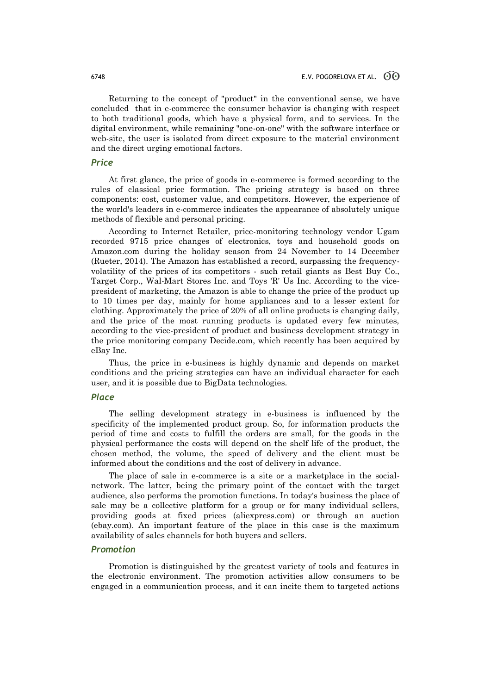Returning to the concept of "product" in the conventional sense, we have concluded that in e-commerce the consumer behavior is changing with respect to both traditional goods, which have a physical form, and to services. In the digital environment, while remaining "one-on-one" with the software interface or web-site, the user is isolated from direct exposure to the material environment and the direct urging emotional factors.

# *Price*

At first glance, the price of goods in e-commerce is formed according to the rules of classical price formation. The pricing strategy is based on three components: cost, customer value, and competitors. However, the experience of the world's leaders in e-commerce indicates the appearance of absolutely unique methods of flexible and personal pricing.

According to Internet Retailer, price-monitoring technology vendor Ugam recorded 9715 price changes of electronics, toys and household goods on Amazon.com during the holiday season from 24 November to 14 December (Rueter, 2014). The Amazon has established a record, surpassing the frequencyvolatility of the prices of its competitors - such retail giants as Best Buy Co., Target Corp., Wal-Mart Stores Inc. and Toys 'R' Us Inc. According to the vicepresident of marketing, the Amazon is able to change the price of the product up to 10 times per day, mainly for home appliances and to a lesser extent for clothing. Approximately the price of 20% of all online products is changing daily, and the price of the most running products is updated every few minutes, according to the vice-president of product and business development strategy in the price monitoring company Decide.com, which recently has been acquired by eBay Inc.

Thus, the price in e-business is highly dynamic and depends on market conditions and the pricing strategies can have an individual character for each user, and it is possible due to BigData technologies.

### *Place*

The selling development strategy in e-business is influenced by the specificity of the implemented product group. So, for information products the period of time and costs to fulfill the orders are small, for the goods in the physical performance the costs will depend on the shelf life of the product, the chosen method, the volume, the speed of delivery and the client must be informed about the conditions and the cost of delivery in advance.

The place of sale in e-commerce is a site or a marketplace in the socialnetwork. The latter, being the primary point of the contact with the target audience, also performs the promotion functions. In today's business the place of sale may be a collective platform for a group or for many individual sellers, providing goods at fixed prices (aliexpress.com) or through an auction (ebay.com). An important feature of the place in this case is the maximum availability of sales channels for both buyers and sellers.

#### *Promotion*

Promotion is distinguished by the greatest variety of tools and features in the electronic environment. The promotion activities allow consumers to be engaged in a communication process, and it can incite them to targeted actions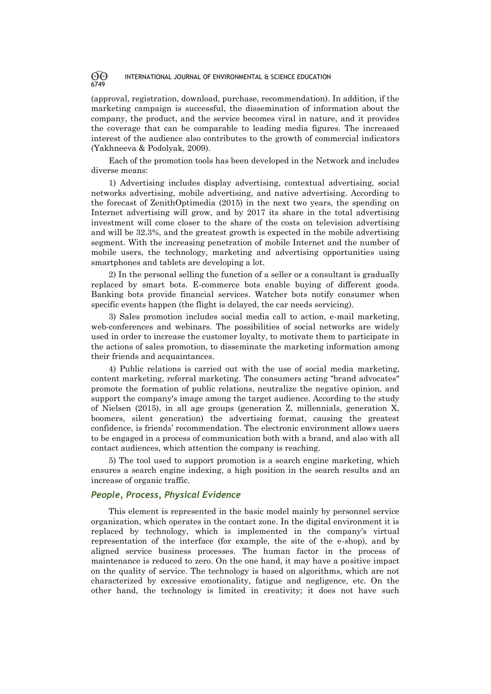(approval, registration, download, purchase, recommendation). In addition, if the marketing campaign is successful, the dissemination of information about the company, the product, and the service becomes viral in nature, and it provides the coverage that can be comparable to leading media figures. The increased interest of the audience also contributes to the growth of commercial indicators (Yakhneeva & Podolyak, 2009).

Each of the promotion tools has been developed in the Network and includes diverse means:

1) Advertising includes display advertising, contextual advertising, social networks advertising, mobile advertising, and native advertising. According to the forecast of ZenithOptimedia (2015) in the next two years, the spending on Internet advertising will grow, and by 2017 its share in the total advertising investment will come closer to the share of the costs on television advertising and will be 32.3%, and the greatest growth is expected in the mobile advertising segment. With the increasing penetration of mobile Internet and the number of mobile users, the technology, marketing and advertising opportunities using smartphones and tablets are developing a lot.

2) In the personal selling the function of a seller or a consultant is gradually replaced by smart bots. E-commerce bots enable buying of different goods. Banking bots provide financial services. Watcher bots notify consumer when specific events happen (the flight is delayed, the car needs servicing).

3) Sales promotion includes social media call to action, e-mail marketing, web-conferences and webinars. The possibilities of social networks are widely used in order to increase the customer loyalty, to motivate them to participate in the actions of sales promotion, to disseminate the marketing information among their friends and acquaintances.

4) Public relations is carried out with the use of social media marketing, content marketing, referral marketing. The consumers acting "brand advocates" promote the formation of public relations, neutralize the negative opinion, and support the company's image among the target audience. According to the study of Nielsen (2015), in all age groups (generation Z, millennials, generation X, boomers, silent generation) the advertising format, causing the greatest confidence, is friends' recommendation. The electronic environment allows users to be engaged in a process of communication both with a brand, and also with all contact audiences, which attention the company is reaching.

5) The tool used to support promotion is a search engine marketing, which ensures a search engine indexing, a high position in the search results and an increase of organic traffic.

### *People, Process, Physical Evidence*

This element is represented in the basic model mainly by personnel service organization, which operates in the contact zone. In the digital environment it is replaced by technology, which is implemented in the company's virtual representation of the interface (for example, the site of the e-shop), and by aligned service business processes. The human factor in the process of maintenance is reduced to zero. On the one hand, it may have a positive impact on the quality of service. The technology is based on algorithms, which are not characterized by excessive emotionality, fatigue and negligence, etc. On the other hand, the technology is limited in creativity; it does not have such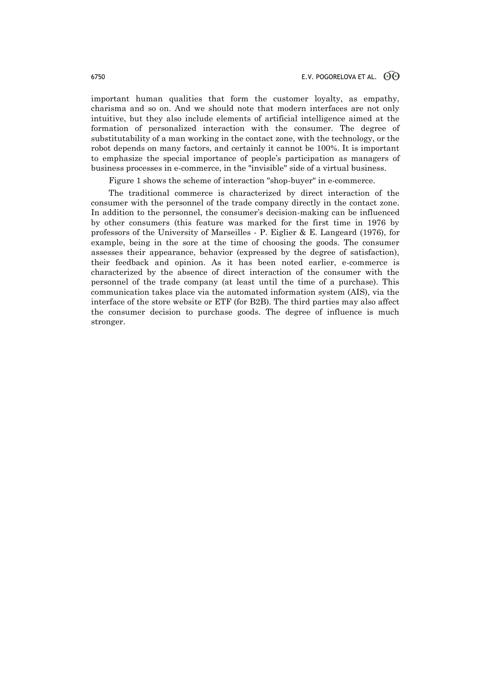important human qualities that form the customer loyalty, as empathy, charisma and so on. And we should note that modern interfaces are not only intuitive, but they also include elements of artificial intelligence aimed at the formation of personalized interaction with the consumer. The degree of substitutability of a man working in the contact zone, with the technology, or the robot depends on many factors, and certainly it cannot be 100%. It is important to emphasize the special importance of people's participation as managers of business processes in e-commerce, in the "invisible" side of a virtual business.

Figure 1 shows the scheme of interaction "shop-buyer" in e-commerce.

The traditional commerce is characterized by direct interaction of the consumer with the personnel of the trade company directly in the contact zone. In addition to the personnel, the consumer's decision-making can be influenced by other consumers (this feature was marked for the first time in 1976 by professors of the University of Marseilles - P. Eiglier & E. Langeard (1976), for example, being in the sore at the time of choosing the goods. The consumer assesses their appearance, behavior (expressed by the degree of satisfaction), their feedback and opinion. As it has been noted earlier, e-commerce is characterized by the absence of direct interaction of the consumer with the personnel of the trade company (at least until the time of a purchase). This communication takes place via the automated information system (AIS), via the interface of the store website or ETF (for B2B). The third parties may also affect the consumer decision to purchase goods. The degree of influence is much stronger.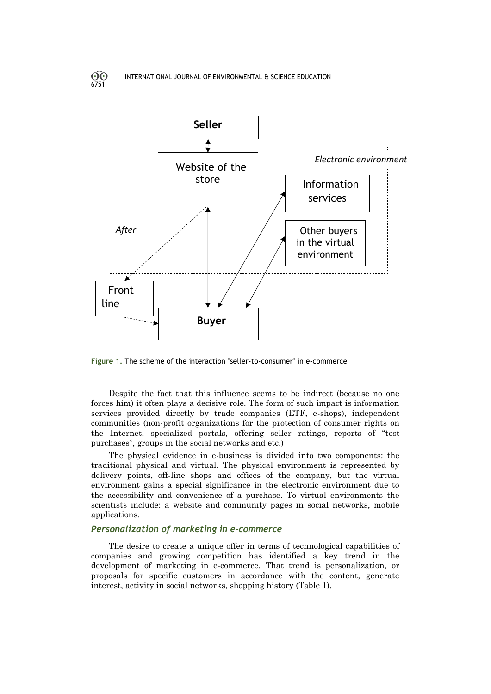6751



**Figure 1.** The scheme of the interaction "seller-to-consumer" in e-commerce

Despite the fact that this influence seems to be indirect (because no one forces him) it often plays a decisive role. The form of such impact is information services provided directly by trade companies (ETF, e-shops), independent communities (non-profit organizations for the protection of consumer rights on the Internet, specialized portals, offering seller ratings, reports of "test purchases", groups in the social networks and etc.)

The physical evidence in e-business is divided into two components: the traditional physical and virtual. The physical environment is represented by delivery points, off-line shops and offices of the company, but the virtual environment gains a special significance in the electronic environment due to the accessibility and convenience of a purchase. To virtual environments the scientists include: a website and community pages in social networks, mobile applications.

### *Personalization of marketing in e-commerce*

The desire to create a unique offer in terms of technological capabilities of companies and growing competition has identified a key trend in the development of marketing in e-commerce. That trend is personalization, or proposals for specific customers in accordance with the content, generate interest, activity in social networks, shopping history (Table 1).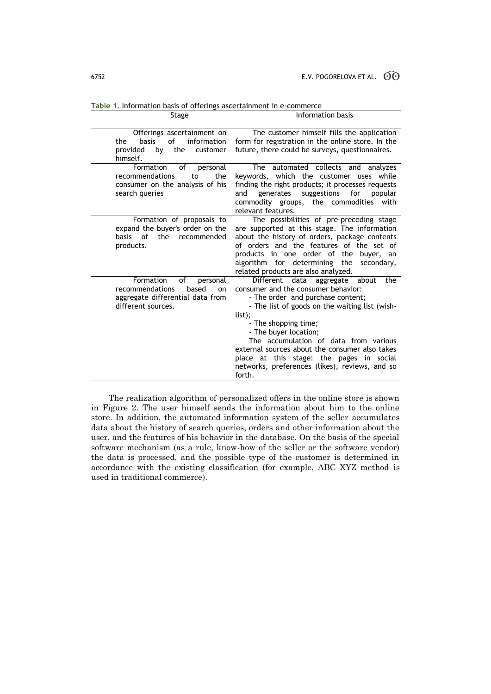| Offerings ascertainment on                             | The customer himself fills the application                                                          |
|--------------------------------------------------------|-----------------------------------------------------------------------------------------------------|
| of<br>information<br>the<br>basis                      | form for registration in the online store. In the                                                   |
| the<br>provided<br>by<br>customer                      | future, there could be surveys, questionnaires.                                                     |
| himself.                                               |                                                                                                     |
| Formation<br>οf<br>personal                            | The automated collects and analyzes                                                                 |
| recommendations<br>the<br>to                           | keywords, which the customer uses while                                                             |
| consumer on the analysis of his<br>search queries      | finding the right products; it processes requests<br>suggestions<br>generates<br>for popular<br>and |
|                                                        | commodity groups, the commodities with                                                              |
|                                                        | relevant features.                                                                                  |
| Formation of proposals to                              | The possibilities of pre-preceding stage                                                            |
| expand the buyer's order on the                        | are supported at this stage. The information                                                        |
| of<br>the<br>recommended<br>basis                      | about the history of orders, package contents                                                       |
| products.                                              | of orders and the features of the set of                                                            |
|                                                        | products in one order of the<br>buyer, an                                                           |
|                                                        | algorithm for determining the<br>secondary,                                                         |
|                                                        | related products are also analyzed.                                                                 |
| Formation<br>of<br>personal                            | <b>Different</b><br>data<br>aggregate about<br>the                                                  |
| recommendations<br>based<br>on                         | consumer and the consumer behavior:                                                                 |
| aggregate differential data from<br>different sources. | - The order and purchase content;<br>- The list of goods on the waiting list (wish-                 |
|                                                        | list);                                                                                              |
|                                                        | - The shopping time;                                                                                |
|                                                        | - The buyer location;                                                                               |
|                                                        | The accumulation of data from various                                                               |
|                                                        | external sources about the consumer also takes                                                      |
|                                                        | place at this stage: the pages in social                                                            |
|                                                        | networks, preferences (likes), reviews, and so                                                      |
|                                                        | forth.                                                                                              |

Stage Information basis

**Table 1.** Information basis of offerings ascertainment in e-commerce

The realization algorithm of personalized offers in the online store is shown in Figure 2. The user himself sends the information about him to the online store. In addition, the automated information system of the seller accumulates data about the history of search queries, orders and other information about the user, and the features of his behavior in the database. On the basis of the special software mechanism (as a rule, know-how of the seller or the software vendor) the data is processed, and the possible type of the customer is determined in accordance with the existing classification (for example, ABC XYZ method is used in traditional commerce).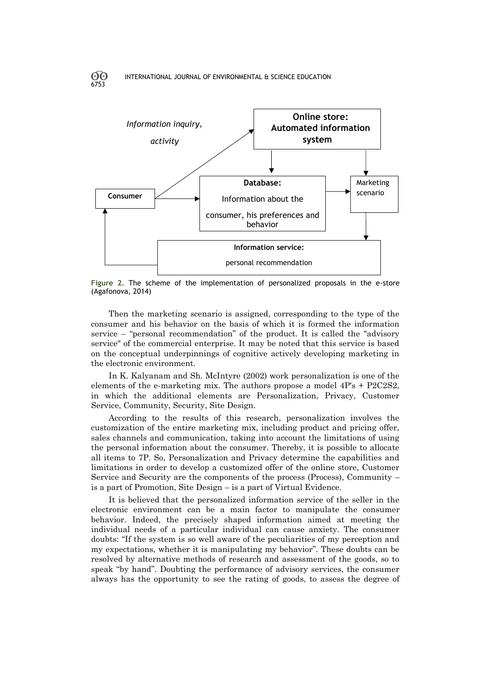6753



**Figure 2.** The scheme of the implementation of personalized proposals in the e-store (Agafonova, 2014)

Then the marketing scenario is assigned, corresponding to the type of the consumer and his behavior on the basis of which it is formed the information service – "personal recommendation" of the product. It is called the "advisory service" of the commercial enterprise. It may be noted that this service is based on the conceptual underpinnings of cognitive actively developing marketing in the electronic environment.

In K. Kalyanam and Sh. McIntyre (2002) work personalization is one of the elements of the e-marketing mix. The authors propose a model 4P's + P2C2S2, in which the additional elements are Personalization, Privacy, Customer Service, Community, Security, Site Design.

According to the results of this research, personalization involves the customization of the entire marketing mix, including product and pricing offer, sales channels and communication, taking into account the limitations of using the personal information about the consumer. Thereby, it is possible to allocate all items to 7P. So, Personalization and Privacy determine the capabilities and limitations in order to develop a customized offer of the online store, Customer Service and Security are the components of the process (Process), Community – is a part of Promotion, Site Design – is a part of Virtual Evidence.

It is believed that the personalized information service of the seller in the electronic environment can be a main factor to manipulate the consumer behavior. Indeed, the precisely shaped information aimed at meeting the individual needs of a particular individual can cause anxiety. The consumer doubts: "If the system is so well aware of the peculiarities of my perception and my expectations, whether it is manipulating my behavior". These doubts can be resolved by alternative methods of research and assessment of the goods, so to speak "by hand". Doubting the performance of advisory services, the consumer always has the opportunity to see the rating of goods, to assess the degree of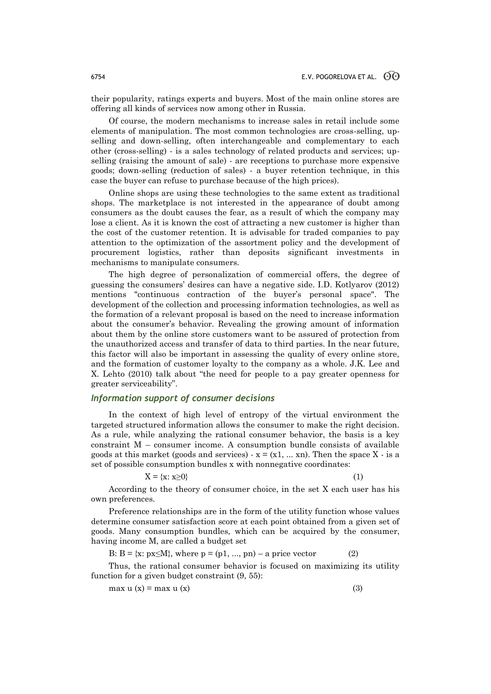their popularity, ratings experts and buyers. Most of the main online stores are offering all kinds of services now among other in Russia.

Of course, the modern mechanisms to increase sales in retail include some elements of manipulation. The most common technologies are cross-selling, upselling and down-selling, often interchangeable and complementary to each other (cross-selling) - is a sales technology of related products and services; upselling (raising the amount of sale) - are receptions to purchase more expensive goods; down-selling (reduction of sales) - a buyer retention technique, in this case the buyer can refuse to purchase because of the high prices).

Online shops are using these technologies to the same extent as traditional shops. The marketplace is not interested in the appearance of doubt among consumers as the doubt causes the fear, as a result of which the company may lose a client. As it is known the cost of attracting a new customer is higher than the cost of the customer retention. It is advisable for traded companies to pay attention to the optimization of the assortment policy and the development of procurement logistics, rather than deposits significant investments in mechanisms to manipulate consumers.

The high degree of personalization of commercial offers, the degree of guessing the consumers' desires can have a negative side. I.D. Kotlyarov (2012) mentions "continuous contraction of the buyer's personal space". The development of the collection and processing information technologies, as well as the formation of a relevant proposal is based on the need to increase information about the consumer's behavior. Revealing the growing amount of information about them by the online store customers want to be assured of protection from the unauthorized access and transfer of data to third parties. In the near future, this factor will also be important in assessing the quality of every online store, and the formation of customer loyalty to the company as a whole. J.K. Lee and X. Lehto (2010) talk about "the need for people to a pay greater openness for greater serviceability".

# *Information support of consumer decisions*

In the context of high level of entropy of the virtual environment the targeted structured information allows the consumer to make the right decision. As a rule, while analyzing the rational consumer behavior, the basis is a key constraint M – consumer income. A consumption bundle consists of available goods at this market (goods and services)  $-x = (x1, ... , xn)$ . Then the space X  $-$  is a set of possible consumption bundles x with nonnegative coordinates:

$$
X = \{x: x \ge 0\} \tag{1}
$$

According to the theory of consumer choice, in the set X each user has his own preferences.

Preference relationships are in the form of the utility function whose values determine consumer satisfaction score at each point obtained from a given set of goods. Many consumption bundles, which can be acquired by the consumer, having income M, are called a budget set

B:  $B = \{x: px \le M\}$ , where  $p = (p1, ..., pn) - a$  price vector (2)

Thus, the rational consumer behavior is focused on maximizing its utility function for a given budget constraint (9, 55):

$$
\max u(x) = \max u(x) \tag{3}
$$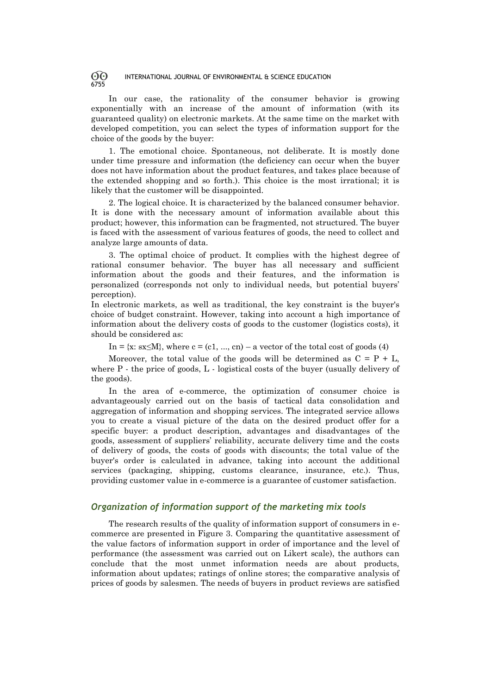In our case, the rationality of the consumer behavior is growing exponentially with an increase of the amount of information (with its guaranteed quality) on electronic markets. At the same time on the market with developed competition, you can select the types of information support for the choice of the goods by the buyer:

1. The emotional choice. Spontaneous, not deliberate. It is mostly done under time pressure and information (the deficiency can occur when the buyer does not have information about the product features, and takes place because of the extended shopping and so forth.). This choice is the most irrational; it is likely that the customer will be disappointed.

2. The logical choice. It is characterized by the balanced consumer behavior. It is done with the necessary amount of information available about this product; however, this information can be fragmented, not structured. The buyer is faced with the assessment of various features of goods, the need to collect and analyze large amounts of data.

3. The optimal choice of product. It complies with the highest degree of rational consumer behavior. The buyer has all necessary and sufficient information about the goods and their features, and the information is personalized (corresponds not only to individual needs, but potential buyers' perception).

In electronic markets, as well as traditional, the key constraint is the buyer's choice of budget constraint. However, taking into account a high importance of information about the delivery costs of goods to the customer (logistics costs), it should be considered as:

In =  $\{x: sx \leq M\}$ , where  $c = (c1, ..., cn) - a$  vector of the total cost of goods (4)

Moreover, the total value of the goods will be determined as  $C = P + L$ . where P - the price of goods, L - logistical costs of the buyer (usually delivery of the goods).

In the area of e-commerce, the optimization of consumer choice is advantageously carried out on the basis of tactical data consolidation and aggregation of information and shopping services. The integrated service allows you to create a visual picture of the data on the desired product offer for a specific buyer: a product description, advantages and disadvantages of the goods, assessment of suppliers' reliability, accurate delivery time and the costs of delivery of goods, the costs of goods with discounts; the total value of the buyer's order is calculated in advance, taking into account the additional services (packaging, shipping, customs clearance, insurance, etc.). Thus, providing customer value in e-commerce is a guarantee of customer satisfaction.

# *Organization of information support of the marketing mix tools*

The research results of the quality of information support of consumers in ecommerce are presented in Figure 3. Comparing the quantitative assessment of the value factors of information support in order of importance and the level of performance (the assessment was carried out on Likert scale), the authors can conclude that the most unmet information needs are about products, information about updates; ratings of online stores; the comparative analysis of prices of goods by salesmen. The needs of buyers in product reviews are satisfied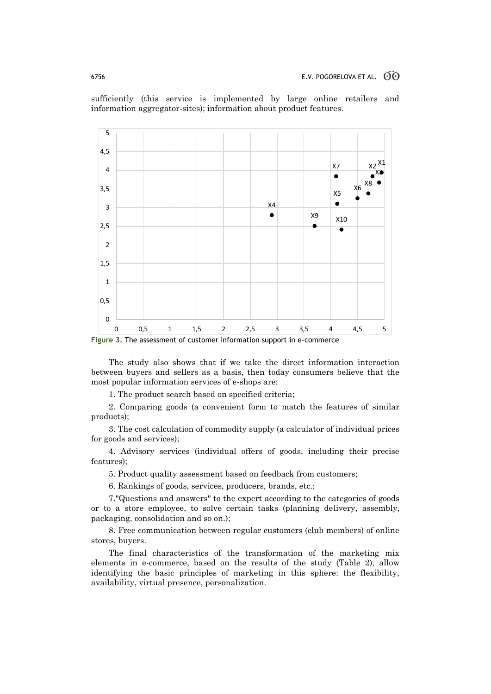

sufficiently (this service is implemented by large online retailers and information aggregator-sites); information about product features.

**Figure 3.** The assessment of customer information support in e-commerce

The study also shows that if we take the direct information interaction between buyers and sellers as a basis, then today consumers believe that the most popular information services of e-shops are:

1. The product search based on specified criteria;

2. Comparing goods (a convenient form to match the features of similar products);

3. The cost calculation of commodity supply (a calculator of individual prices for goods and services);

4. Advisory services (individual offers of goods, including their precise features);

5. Product quality assessment based on feedback from customers;

6. Rankings of goods, services, producers, brands, etc.;

7."Questions and answers" to the expert according to the categories of goods or to a store employee, to solve certain tasks (planning delivery, assembly, packaging, consolidation and so on.);

8. Free communication between regular customers (club members) of online stores, buyers.

The final characteristics of the transformation of the marketing mix elements in e-commerce, based on the results of the study (Table 2), allow identifying the basic principles of marketing in this sphere: the flexibility, availability, virtual presence, personalization.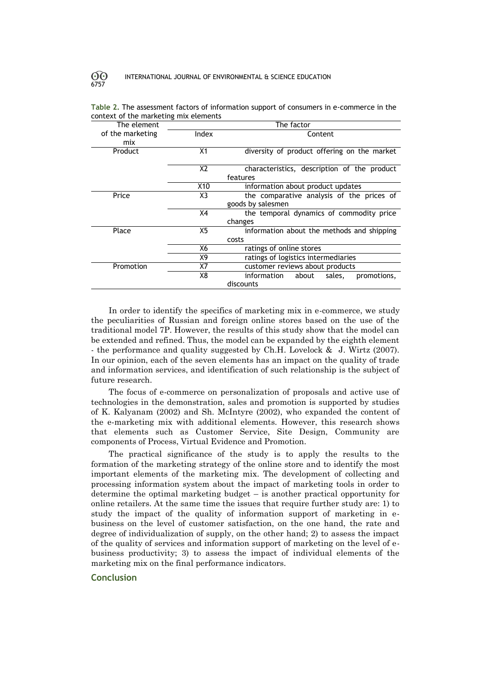| The factor     |                                                         |  |
|----------------|---------------------------------------------------------|--|
| Index          | Content                                                 |  |
| X1             | diversity of product offering on the market             |  |
| X <sub>2</sub> | characteristics, description of the product<br>features |  |
| X10            | information about product updates                       |  |
| X3             | the comparative analysis of the prices of               |  |
|                | goods by salesmen                                       |  |
| X4             | the temporal dynamics of commodity price                |  |
|                | changes                                                 |  |
| X <sub>5</sub> | information about the methods and shipping              |  |
|                | costs                                                   |  |
| X6             | ratings of online stores                                |  |
| X9             | ratings of logistics intermediaries                     |  |
| X7             | customer reviews about products                         |  |
| X8             | information about<br>promotions,<br>sales,              |  |
|                | discounts                                               |  |
|                |                                                         |  |

**Table 2.** The assessment factors of information support of consumers in e-commerce in the context of the marketing mix elements

In order to identify the specifics of marketing mix in e-commerce, we study the peculiarities of Russian and foreign online stores based on the use of the traditional model 7P. However, the results of this study show that the model can be extended and refined. Thus, the model can be expanded by the eighth element - the performance and quality suggested by Ch.H. Lovelock & J. Wirtz (2007). In our opinion, each of the seven elements has an impact on the quality of trade and information services, and identification of such relationship is the subject of future research.

The focus of e-commerce on personalization of proposals and active use of technologies in the demonstration, sales and promotion is supported by studies of K. Kalyanam (2002) and Sh. McIntyre (2002), who expanded the content of the e-marketing mix with additional elements. However, this research shows that elements such as Customer Service, Site Design, Community are components of Process, Virtual Evidence and Promotion.

The practical significance of the study is to apply the results to the formation of the marketing strategy of the online store and to identify the most important elements of the marketing mix. The development of collecting and processing information system about the impact of marketing tools in order to determine the optimal marketing budget – is another practical opportunity for online retailers. At the same time the issues that require further study are: 1) to study the impact of the quality of information support of marketing in ebusiness on the level of customer satisfaction, on the one hand, the rate and degree of individualization of supply, on the other hand; 2) to assess the impact of the quality of services and information support of marketing on the level of ebusiness productivity; 3) to assess the impact of individual elements of the marketing mix on the final performance indicators.

# **Conclusion**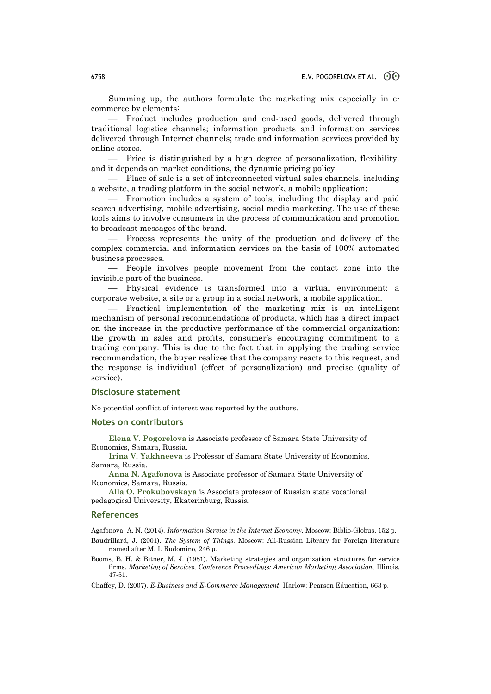Summing up, the authors formulate the marketing mix especially in ecommerce by elements:

- Product includes production and end-used goods, delivered through traditional logistics channels; information products and information services delivered through Internet channels; trade and information services provided by online stores.

 Price is distinguished by a high degree of personalization, flexibility, and it depends on market conditions, the dynamic pricing policy.

 Place of sale is a set of interconnected virtual sales channels, including a website, a trading platform in the social network, a mobile application;

 Promotion includes a system of tools, including the display and paid search advertising, mobile advertising, social media marketing. The use of these tools aims to involve consumers in the process of communication and promotion to broadcast messages of the brand.

 Process represents the unity of the production and delivery of the complex commercial and information services on the basis of 100% automated business processes.

 People involves people movement from the contact zone into the invisible part of the business.

 Physical evidence is transformed into a virtual environment: a corporate website, a site or a group in a social network, a mobile application.

 Practical implementation of the marketing mix is an intelligent mechanism of personal recommendations of products, which has a direct impact on the increase in the productive performance of the commercial organization: the growth in sales and profits, consumer's encouraging commitment to a trading company. This is due to the fact that in applying the trading service recommendation, the buyer realizes that the company reacts to this request, and the response is individual (effect of personalization) and precise (quality of service).

### **Disclosure statement**

No potential conflict of interest was reported by the authors.

#### **Notes on contributors**

**Elena V. Pogorelova** is Associate professor of Samara State University of Economics, Samara, Russia.

**Irina V. Yakhneeva** is Professor of Samara State University of Economics, Samara, Russia.

**Anna N. Agafonova** is Associate professor of Samara State University of Economics, Samara, Russia.

**Alla O. Prokubovskaya** is Associate professor of Russian state vocational pedagogical University, Ekaterinburg, Russia.

#### **References**

Agafonova, A. N. (2014). *Information Service in the Internet Economy*. Moscow: Biblio-Globus, 152 p.

- Baudrillard, J. (2001). *The System of Things.* Moscow: All-Russian Library for Foreign literature named after M. I. Rudomino, 246 p.
- Booms, B. H. & Bitner, M. J. (1981). Marketing strategies and organization structures for service firms. *Marketing of Services, Conference Proceedings: American Marketing Association,* Illinois, 47-51.

Chaffey, D. (2007). *E-Business and E-Commerce Management*. Harlow: Pearson Education, 663 p.